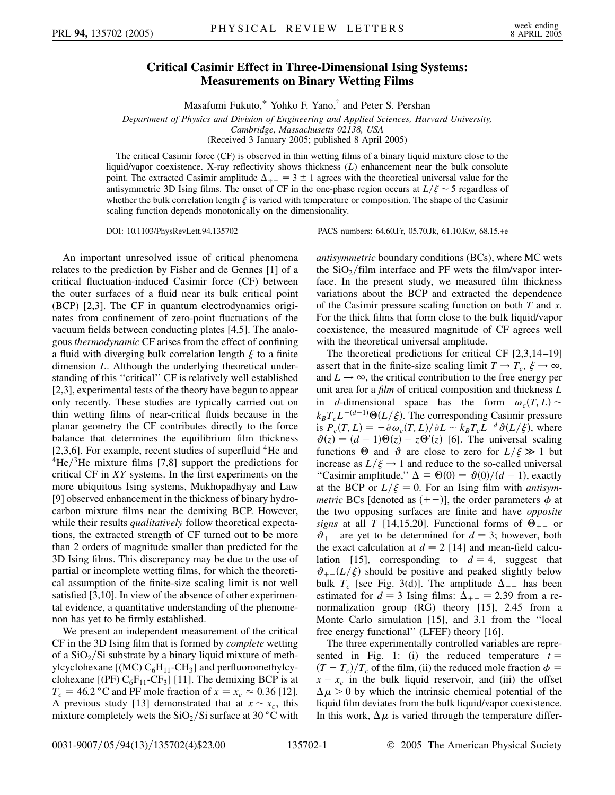## **Critical Casimir Effect in Three-Dimensional Ising Systems: Measurements on Binary Wetting Films**

Masafumi Fukuto,\* Yohko F. Yano,† and Peter S. Pershan

*Department of Physics and Division of Engineering and Applied Sciences, Harvard University, Cambridge, Massachusetts 02138, USA* (Received 3 January 2005; published 8 April 2005)

The critical Casimir force (CF) is observed in thin wetting films of a binary liquid mixture close to the liquid/vapor coexistence. X-ray reflectivity shows thickness (*L*) enhancement near the bulk consolute point. The extracted Casimir amplitude  $\Delta_{+-} = 3 \pm 1$  agrees with the theoretical universal value for the antisymmetric 3D Ising films. The onset of CF in the one-phase region occurs at  $L/\xi \sim 5$  regardless of whether the bulk correlation length  $\xi$  is varied with temperature or composition. The shape of the Casimir scaling function depends monotonically on the dimensionality.

DOI: 10.1103/PhysRevLett.94.135702 PACS numbers: 64.60.Fr, 05.70.Jk, 61.10.Kw, 68.15.+e

An important unresolved issue of critical phenomena relates to the prediction by Fisher and de Gennes [1] of a critical fluctuation-induced Casimir force (CF) between the outer surfaces of a fluid near its bulk critical point (BCP) [2,3]. The CF in quantum electrodynamics originates from confinement of zero-point fluctuations of the vacuum fields between conducting plates [4,5]. The analogous *thermodynamic* CF arises from the effect of confining a fluid with diverging bulk correlation length  $\xi$  to a finite dimension *L*. Although the underlying theoretical understanding of this ''critical'' CF is relatively well established [2,3], experimental tests of the theory have begun to appear only recently. These studies are typically carried out on thin wetting films of near-critical fluids because in the planar geometry the CF contributes directly to the force balance that determines the equilibrium film thickness [2,3,6]. For example, recent studies of superfluid  ${}^{4}$ He and  $^{4}$ He $^{3}$ He mixture films [7,8] support the predictions for critical CF in *XY* systems. In the first experiments on the more ubiquitous Ising systems, Mukhopadhyay and Law [9] observed enhancement in the thickness of binary hydrocarbon mixture films near the demixing BCP. However, while their results *qualitatively* follow theoretical expectations, the extracted strength of CF turned out to be more than 2 orders of magnitude smaller than predicted for the 3D Ising films. This discrepancy may be due to the use of partial or incomplete wetting films, for which the theoretical assumption of the finite-size scaling limit is not well satisfied [3,10]. In view of the absence of other experimental evidence, a quantitative understanding of the phenomenon has yet to be firmly established.

We present an independent measurement of the critical CF in the 3D Ising film that is formed by *complete* wetting of a  $SiO<sub>2</sub>/Si$  substrate by a binary liquid mixture of methylcyclohexane  $[(MC) C_6H_{11}$ -CH<sub>3</sub>] and perfluoromethylcyclohexane  $[(PF) C_6F_{11} - CF_3]$  [11]. The demixing BCP is at  $T_c = 46.2 \degree$ C and PF mole fraction of  $x = x_c \approx 0.36$  [12]. A previous study [13] demonstrated that at  $x \sim x_c$ , this mixture completely wets the  $SiO<sub>2</sub>/Si$  surface at 30 °C with *antisymmetric* boundary conditions (BCs), where MC wets the  $SiO<sub>2</sub>/film interface and PF wets the film/vapor inter$ face. In the present study, we measured film thickness variations about the BCP and extracted the dependence of the Casimir pressure scaling function on both *T* and *x*. For the thick films that form close to the bulk liquid/vapor coexistence, the measured magnitude of CF agrees well with the theoretical universal amplitude.

The theoretical predictions for critical CF [2,3,14–19] assert that in the finite-size scaling limit  $T \to T_c$ ,  $\xi \to \infty$ , and  $L \rightarrow \infty$ , the critical contribution to the free energy per unit area for a *film* of critical composition and thickness *L* in *d*-dimensional space has the form  $\omega_c(T, L)$  $k_B T_c L^{-(d-1)} \Theta(L/\xi)$ . The corresponding Casimir pressure is  $P_c(T, L) = -\partial \omega_c(T, L)/\partial L \sim k_B T_c L^{-d} \vartheta(L/\xi)$ , where  $\vartheta(z) = (d-1)\Theta(z) - z\Theta'(z)$  [6]. The universal scaling functions  $\Theta$  and  $\vartheta$  are close to zero for  $L/\xi \gg 1$  but increase as  $L/\xi \rightarrow 1$  and reduce to the so-called universal "Casimir amplitude,"  $\Delta \equiv \Theta(0) = \vartheta(0)/(d-1)$ , exactly at the BCP or  $L/\xi = 0$ . For an Ising film with *antisymmetric* BCs [denoted as  $(+-)$ ], the order parameters  $\phi$  at the two opposing surfaces are finite and have *opposite signs* at all *T* [14,15,20]. Functional forms of  $\Theta_{+-}$  or  $\vartheta$ <sub>+-</sub> are yet to be determined for  $d = 3$ ; however, both the exact calculation at  $d = 2$  [14] and mean-field calculation [15], corresponding to  $d = 4$ , suggest that  $\vartheta_{+-}(L/\xi)$  should be positive and peaked slightly below bulk  $T_c$  [see Fig. 3(d)]. The amplitude  $\Delta_{+-}$  has been estimated for  $d = 3$  Ising films:  $\Delta_{+-} = 2.39$  from a renormalization group (RG) theory [15], 2.45 from a Monte Carlo simulation [15], and 3.1 from the ''local free energy functional'' (LFEF) theory [16].

The three experimentally controlled variables are represented in Fig. 1: (i) the reduced temperature  $t =$  $(T - T_c)/T_c$  of the film, (ii) the reduced mole fraction  $\phi =$  $x - x_c$  in the bulk liquid reservoir, and (iii) the offset  $\Delta \mu > 0$  by which the intrinsic chemical potential of the liquid film deviates from the bulk liquid/vapor coexistence. In this work,  $\Delta \mu$  is varied through the temperature differ-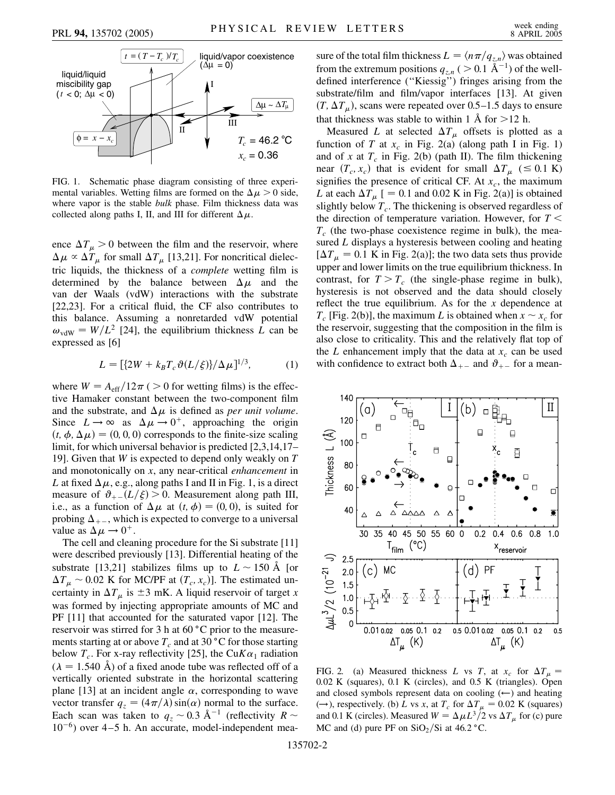

FIG. 1. Schematic phase diagram consisting of three experimental variables. Wetting films are formed on the  $\Delta \mu > 0$  side, where vapor is the stable *bulk* phase. Film thickness data was collected along paths I, II, and III for different  $\Delta \mu$ .

ence  $\Delta T_{\mu} > 0$  between the film and the reservoir, where  $\Delta \mu \propto \Delta T_{\mu}$  for small  $\Delta T_{\mu}$  [13,21]. For noncritical dielectric liquids, the thickness of a *complete* wetting film is determined by the balance between  $\Delta \mu$  and the van der Waals (vdW) interactions with the substrate [22,23]. For a critical fluid, the CF also contributes to this balance. Assuming a nonretarded vdW potential  $\omega_{\text{vdW}} = W/L^2$  [24], the equilibrium thickness *L* can be expressed as [6]

$$
L = [\{2W + k_B T_c \vartheta(L/\xi)\}/\Delta \mu]^{1/3},
$$
 (1)

where  $W = A_{\text{eff}}/12\pi$  (  $> 0$  for wetting films) is the effective Hamaker constant between the two-component film and the substrate, and  $\Delta \mu$  is defined as *per unit volume*. Since  $L \to \infty$  as  $\Delta \mu \to 0^+$ , approaching the origin  $(t, \phi, \Delta \mu) = (0, 0, 0)$  corresponds to the finite-size scaling limit, for which universal behavior is predicted [2,3,14,17– 19]. Given that *W* is expected to depend only weakly on *T* and monotonically on *x*, any near-critical *enhancement* in *L* at fixed  $\Delta \mu$ , e.g., along paths I and II in Fig. 1, is a direct measure of  $\vartheta_{+-}(L/\xi) > 0$ . Measurement along path III, i.e., as a function of  $\Delta \mu$  at  $(t, \phi) = (0, 0)$ , is suited for probing  $\Delta_{+-}$ , which is expected to converge to a universal value as  $\Delta \mu \rightarrow 0^+$ .

The cell and cleaning procedure for the Si substrate [11] were described previously [13]. Differential heating of the substrate [13,21] stabilizes films up to  $L \sim 150$  Å [or  $\Delta T_{\mu} \sim 0.02$  K for MC/PF at  $(T_c, x_c)$ . The estimated uncertainty in  $\Delta T_{\mu}$  is  $\pm 3$  mK. A liquid reservoir of target *x* was formed by injecting appropriate amounts of MC and PF [11] that accounted for the saturated vapor [12]. The reservoir was stirred for 3 h at 60 °C prior to the measurements starting at or above  $T_c$  and at 30 °C for those starting below  $T_c$ . For x-ray reflectivity [25], the Cu $K\alpha_1$  radiation  $(\lambda = 1.540 \text{ Å})$  of a fixed anode tube was reflected off of a vertically oriented substrate in the horizontal scattering plane [13] at an incident angle  $\alpha$ , corresponding to wave vector transfer  $q_z = (4\pi/\lambda)\sin(\alpha)$  normal to the surface. Each scan was taken to  $q_z \sim 0.3 \text{ Å}^{-1}$  (reflectivity  $R \sim$ 10<sup>-6</sup>) over 4-5 h. An accurate, model-independent measure of the total film thickness  $L = \langle n\pi/q_{z,n} \rangle$  was obtained from the extremum positions  $q_{z,n}$  (  $> 0.1 \text{ Å}^{-1}$ ) of the welldefined interference (''Kiessig'') fringes arising from the substrate/film and film/vapor interfaces [13]. At given  $(T, \Delta T_{\mu})$ , scans were repeated over 0.5–1.5 days to ensure that thickness was stable to within 1  $\AA$  for  $>12$  h.

Measured *L* at selected  $\Delta T_{\mu}$  offsets is plotted as a function of *T* at  $x_c$  in Fig. 2(a) (along path I in Fig. 1) and of *x* at  $T_c$  in Fig. 2(b) (path II). The film thickening near  $(T_c, x_c)$  that is evident for small  $\Delta T_{\mu}$  ( $\leq 0.1$  K) signifies the presence of critical CF. At  $x_c$ , the maximum *L* at each  $\Delta T_u$  [ = 0.1 and 0.02 K in Fig. 2(a)] is obtained slightly below  $T_c$ . The thickening is observed regardless of the direction of temperature variation. However, for *T <*  $T_c$  (the two-phase coexistence regime in bulk), the measured *L* displays a hysteresis between cooling and heating  $[\Delta T_{\mu} = 0.1 \text{ K} \text{ in Fig. 2(a)}]$ ; the two data sets thus provide upper and lower limits on the true equilibrium thickness. In contrast, for  $T>T_c$  (the single-phase regime in bulk), hysteresis is not observed and the data should closely reflect the true equilibrium. As for the *x* dependence at  $T_c$  [Fig. 2(b)], the maximum *L* is obtained when  $x \sim x_c$  for the reservoir, suggesting that the composition in the film is also close to criticality. This and the relatively flat top of the *L* enhancement imply that the data at  $x_c$  can be used with confidence to extract both  $\Delta_{+-}$  and  $\vartheta_{+-}$  for a mean-



FIG. 2. (a) Measured thickness *L* vs *T*, at  $x_c$  for  $\Delta T_u$  = 0*:*02 K (squares), 0.1 K (circles), and 0.5 K (triangles). Open and closed symbols represent data on cooling  $(\leftarrow)$  and heating  $(\rightarrow)$ , respectively. (b) *L* vs *x*, at  $T_c$  for  $\Delta T_\mu = 0.02$  K (squares) and 0.1 K (circles). Measured  $W = \Delta \mu L^3 / 2$  vs  $\Delta T_\mu$  for (c) pure MC and (d) pure PF on  $SiO_2/Si$  at  $46.2 °C$ .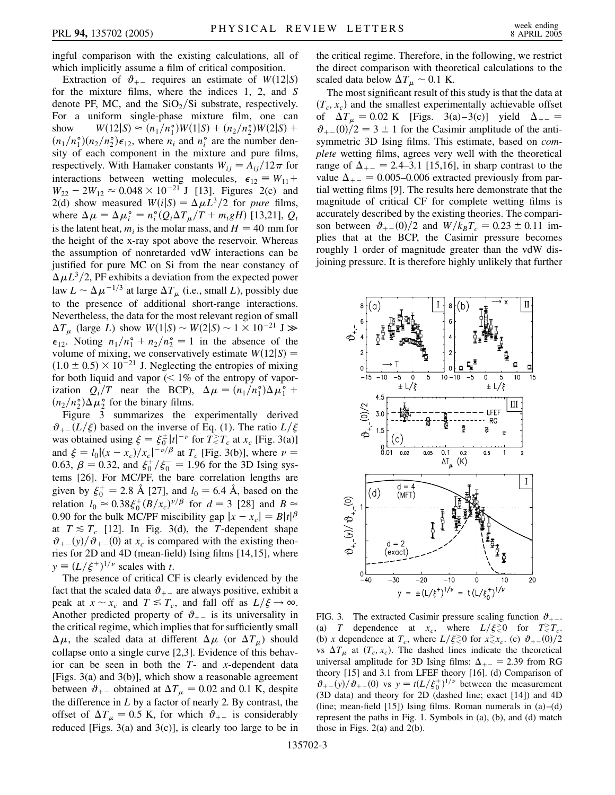ingful comparison with the existing calculations, all of which implicitly assume a film of critical composition.

Extraction of  $\vartheta_{+-}$  requires an estimate of  $W(12|S)$ for the mixture films, where the indices 1, 2, and *S* denote PF, MC, and the  $SiO_2/Si$  substrate, respectively. For a uniform single-phase mixture film, one can show *W*  $12|S| \approx (n_1/n_1^{\circ})W(1|S) + (n_2/n_2^{\circ})W(2|S) +$  $(n_1/n_1^{\circ})(n_2/n_2^{\circ})\epsilon_{12}$ , where  $n_i$  and  $n_i^{\circ}$  are the number density of each component in the mixture and pure films, respectively. With Hamaker constants  $W_{ij} = A_{ij}/12\pi$  for interactions between wetting molecules,  $\epsilon_{12} \equiv W_{11} + W_{12}$  $W_{22} - 2W_{12} \approx 0.048 \times 10^{-21}$  J [13]. Figures 2(c) and 2(d) show measured  $W(i|S) = \Delta \mu L^3/2$  for *pure* films, where  $\Delta \mu = \Delta \mu_i^{\circ} = n_i^{\circ} (Q_i \Delta T_\mu / T + m_i g H)$  [13,21],  $Q_i$ is the latent heat,  $m_i$  is the molar mass, and  $H = 40$  mm for the height of the x-ray spot above the reservoir. Whereas the assumption of nonretarded vdW interactions can be justified for pure MC on Si from the near constancy of  $\Delta \mu L^3/2$ , PF exhibits a deviation from the expected power law  $L \sim \Delta \mu^{-1/3}$  at large  $\Delta T_{\mu}$  (i.e., small *L*), possibly due to the presence of additional short-range interactions. Nevertheless, the data for the most relevant region of small  $\Delta T_{\mu}$  (large *L*) show  $W(1|S) \sim W(2|S) \sim 1 \times 10^{-21}$  J  $\gg$  $\epsilon_{12}$ . Noting  $n_1/n_1^{\circ} + n_2/n_2^{\circ} = 1$  in the absence of the volume of mixing, we conservatively estimate  $W(12|S) =$  $(1.0 \pm 0.5) \times 10^{-21}$  J. Neglecting the entropies of mixing for both liquid and vapor (*<* 1% of the entropy of vaporization  $Q_i/T$  near the BCP),  $\Delta \mu = (n_1/n_1^{\circ})\Delta \mu_1^{\circ}$  +  $(n_2/n_2^{\circ})\Delta\mu_2^{\circ}$  for the binary films.

Figure 3 summarizes the experimentally derived  $\vartheta_{+-}(L/\xi)$  based on the inverse of Eq. (1). The ratio  $L/\xi$ was obtained using  $\xi = \xi_0^{\pm} |t|^{-\nu}$  for  $T \leq T_c$  at  $x_c$  [Fig. 3(a)] and  $\xi = l_0 |(x - x_c)/x_c|^{-\nu/\beta}$  at  $T_c$  [Fig. 3(b)], where  $\nu =$ 0.63,  $\beta = 0.32$ , and  $\xi_0^+/\xi_0^- = 1.96$  for the 3D Ising systems [26]. For MC/PF, the bare correlation lengths are given by  $\xi_0^+ = 2.8 \text{ Å}$  [27], and  $l_0 = 6.4 \text{ Å}$ , based on the relation  $l_0 \approx 0.38 \xi_0^+(B/x_c)^{\nu/\beta}$  for  $d = 3$  [28] and  $B \approx$ 0.90 for the bulk MC/PF miscibility gap  $|x - x_c| = B|t|^{\beta}$ at  $T \leq T_c$  [12]. In Fig. 3(d), the *T*-dependent shape  $\theta_{+-}(y)/\theta_{+-}(0)$  at  $x_c$  is compared with the existing theories for 2D and 4D (mean-field) Ising films [14,15], where  $y \equiv (L/\xi^+)^{1/\nu}$  scales with *t*.

The presence of critical CF is clearly evidenced by the fact that the scaled data  $\vartheta_{+-}$  are always positive, exhibit a peak at  $x \sim x_c$  and  $T \leq T_c$ , and fall off as  $L/\xi \to \infty$ . Another predicted property of  $\vartheta_{+-}$  is its universality in the critical regime, which implies that for sufficiently small  $\Delta \mu$ , the scaled data at different  $\Delta \mu$  (or  $\Delta T_{\mu}$ ) should collapse onto a single curve [2,3]. Evidence of this behavior can be seen in both the *T*- and *x*-dependent data [Figs. 3(a) and 3(b)], which show a reasonable agreement between  $\vartheta_{+-}$  obtained at  $\Delta T_{\mu} = 0.02$  and 0.1 K, despite the difference in *L* by a factor of nearly 2. By contrast, the offset of  $\Delta T_{\mu} = 0.5$  K, for which  $\vartheta_{+-}$  is considerably reduced [Figs.  $3(a)$  and  $3(c)$ ], is clearly too large to be in the critical regime. Therefore, in the following, we restrict the direct comparison with theoretical calculations to the scaled data below  $\Delta T_{\mu} \sim 0.1$  K.

The most significant result of this study is that the data at  $(T_c, x_c)$  and the smallest experimentally achievable offset of  $\Delta T_{\mu} = 0.02 \text{ K}$  [Figs. 3(a)–3(c)] yield  $\Delta_{+-} =$  $\vartheta_{+-}(0)/2 = 3 \pm 1$  for the Casimir amplitude of the antisymmetric 3D Ising films. This estimate, based on *complete* wetting films, agrees very well with the theoretical range of  $\Delta_{+-} = 2.4 - 3.1$  [15,16], in sharp contrast to the value  $\Delta_{+-} = 0.005{\text{-}}0.006$  extracted previously from partial wetting films [9]. The results here demonstrate that the magnitude of critical CF for complete wetting films is accurately described by the existing theories. The comparison between  $\vartheta_{+-}(0)/2$  and  $W/k_B T_c = 0.23 \pm 0.11$  implies that at the BCP, the Casimir pressure becomes roughly 1 order of magnitude greater than the vdW disjoining pressure. It is therefore highly unlikely that further



FIG. 3. The extracted Casimir pressure scaling function  $\vartheta_{+-}$ . (a) *T* dependence at  $x_c$ , where  $L/\xi \gtrless 0$  for  $T \gtrless T_c$ . (b) *x* dependence at  $T_c$ , where  $L/\xi \gtrsim 0$  for  $x \gtrsim x_c$ . (c)  $\vartheta_{+-}(0)/2$ vs  $\Delta T_{\mu}$  at  $(T_c, x_c)$ . The dashed lines indicate the theoretical universal amplitude for 3D Ising films:  $\Delta_{+-} = 2.39$  from RG theory [15] and 3.1 from LFEF theory [16]. (d) Comparison of  $\vartheta_{+-}(y)/\vartheta_{+-}(0)$  vs  $y = t(L/\xi_0^+)^{1/\nu}$  between the measurement (3D data) and theory for 2D (dashed line; exact [14]) and 4D (line; mean-field [15]) Ising films. Roman numerals in  $(a)$ – $(d)$ represent the paths in Fig. 1. Symbols in (a), (b), and (d) match those in Figs. 2(a) and 2(b).